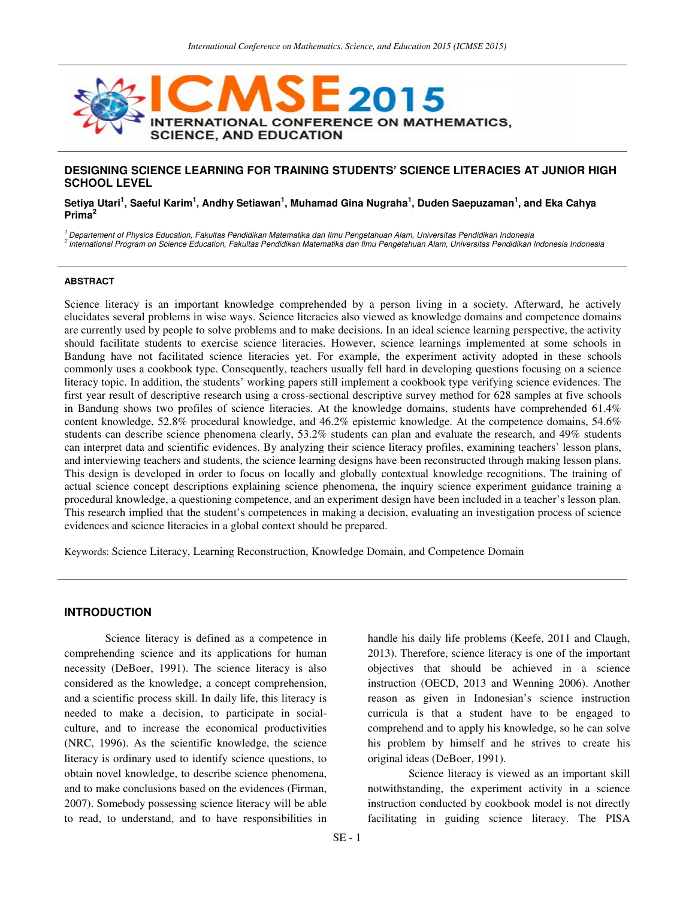

## **DESIGNING SCIENCE LEARNING FOR TRAINING STUDENTS' SCIENCE LITERACIES AT JUNIOR HIGH SCHOOL LEVEL**

#### $\,$ Setiya Utari $^1$ , Saeful Karim $^1$ , Andhy Setiawan $^1$ , Muhamad Gina Nugraha $^1$ , Duden Saepuzaman $^1$ , and Eka Cahya **Prima<sup>2</sup>**

<sup>1.</sup>Departement of Physics Education, Fakultas Pendidikan Matematika dan Ilmu Pengetahuan Alam, Universitas Pendidikan Indonesia 2.International Program on Science Education, Fakultas Pendidikan Matematika dan Ilmu Pengetahuan Alam, Universitas Pendidikan Indonesia Indonesia

#### **ABSTRACT**

Science literacy is an important knowledge comprehended by a person living in a society. Afterward, he actively elucidates several problems in wise ways. Science literacies also viewed as knowledge domains and competence domains are currently used by people to solve problems and to make decisions. In an ideal science learning perspective, the activity should facilitate students to exercise science literacies. However, science learnings implemented at some schools in Bandung have not facilitated science literacies yet. For example, the experiment activity adopted in these schools commonly uses a cookbook type. Consequently, teachers usually fell hard in developing questions focusing on a science literacy topic. In addition, the students' working papers still implement a cookbook type verifying science evidences. The first year result of descriptive research using a cross-sectional descriptive survey method for 628 samples at five schools in Bandung shows two profiles of science literacies. At the knowledge domains, students have comprehended 61.4% content knowledge, 52.8% procedural knowledge, and 46.2% epistemic knowledge. At the competence domains, 54.6% students can describe science phenomena clearly, 53.2% students can plan and evaluate the research, and 49% students can interpret data and scientific evidences. By analyzing their science literacy profiles, examining teachers' lesson plans, and interviewing teachers and students, the science learning designs have been reconstructed through making lesson plans. This design is developed in order to focus on locally and globally contextual knowledge recognitions. The training of actual science concept descriptions explaining science phenomena, the inquiry science experiment guidance training a procedural knowledge, a questioning competence, and an experiment design have been included in a teacher's lesson plan. This research implied that the student's competences in making a decision, evaluating an investigation process of science evidences and science literacies in a global context should be prepared.

Keywords: Science Literacy, Learning Reconstruction, Knowledge Domain, and Competence Domain

## **INTRODUCTION**

Science literacy is defined as a competence in comprehending science and its applications for human necessity (DeBoer, 1991). The science literacy is also considered as the knowledge, a concept comprehension, and a scientific process skill. In daily life, this literacy is needed to make a decision, to participate in socialculture, and to increase the economical productivities (NRC, 1996). As the scientific knowledge, the science literacy is ordinary used to identify science questions, to obtain novel knowledge, to describe science phenomena, and to make conclusions based on the evidences (Firman, 2007). Somebody possessing science literacy will be able to read, to understand, and to have responsibilities in handle his daily life problems (Keefe, 2011 and Claugh, 2013). Therefore, science literacy is one of the important objectives that should be achieved in a science instruction (OECD, 2013 and Wenning 2006). Another reason as given in Indonesian's science instruction curricula is that a student have to be engaged to comprehend and to apply his knowledge, so he can solve his problem by himself and he strives to create his original ideas (DeBoer, 1991).

Science literacy is viewed as an important skill notwithstanding, the experiment activity in a science instruction conducted by cookbook model is not directly facilitating in guiding science literacy. The PISA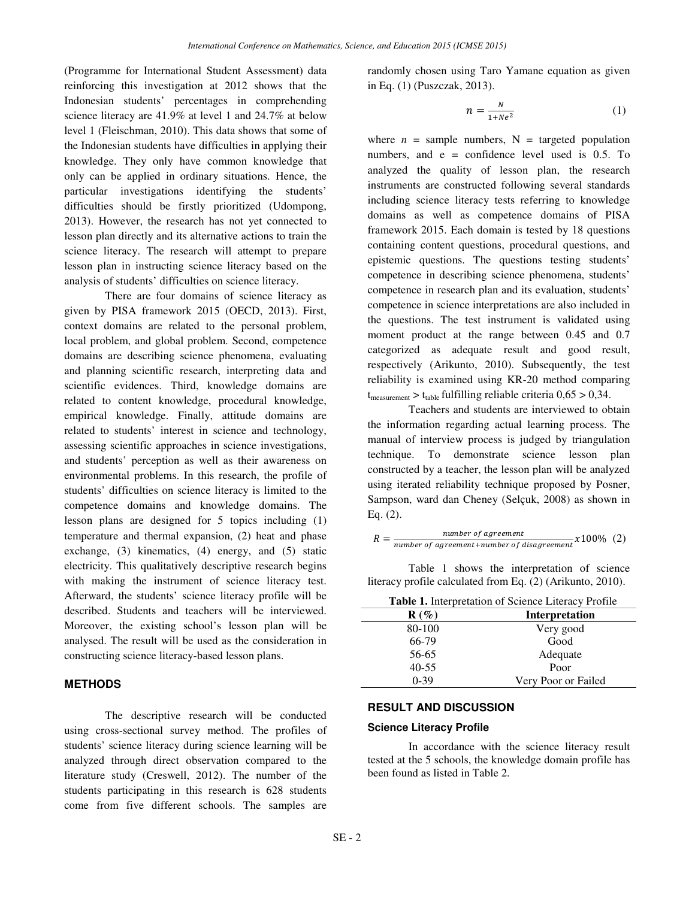(Programme for International Student Assessment) data reinforcing this investigation at 2012 shows that the Indonesian students' percentages in comprehending science literacy are 41.9% at level 1 and 24.7% at below level 1 (Fleischman, 2010). This data shows that some of the Indonesian students have difficulties in applying their knowledge. They only have common knowledge that only can be applied in ordinary situations. Hence, the particular investigations identifying the students' difficulties should be firstly prioritized (Udompong, 2013). However, the research has not yet connected to lesson plan directly and its alternative actions to train the science literacy. The research will attempt to prepare lesson plan in instructing science literacy based on the analysis of students' difficulties on science literacy.

There are four domains of science literacy as given by PISA framework 2015 (OECD, 2013). First, context domains are related to the personal problem, local problem, and global problem. Second, competence domains are describing science phenomena, evaluating and planning scientific research, interpreting data and scientific evidences. Third, knowledge domains are related to content knowledge, procedural knowledge, empirical knowledge. Finally, attitude domains are related to students' interest in science and technology, assessing scientific approaches in science investigations, and students' perception as well as their awareness on environmental problems. In this research, the profile of students' difficulties on science literacy is limited to the competence domains and knowledge domains. The lesson plans are designed for 5 topics including (1) temperature and thermal expansion, (2) heat and phase exchange, (3) kinematics, (4) energy, and (5) static electricity. This qualitatively descriptive research begins with making the instrument of science literacy test. Afterward, the students' science literacy profile will be described. Students and teachers will be interviewed. Moreover, the existing school's lesson plan will be analysed. The result will be used as the consideration in constructing science literacy-based lesson plans.

### **METHODS**

The descriptive research will be conducted using cross-sectional survey method. The profiles of students' science literacy during science learning will be analyzed through direct observation compared to the literature study (Creswell, 2012). The number of the students participating in this research is 628 students come from five different schools. The samples are randomly chosen using Taro Yamane equation as given in Eq. (1) (Puszczak, 2013).

$$
n = \frac{N}{1 + Ne^2} \tag{1}
$$

where  $n =$  sample numbers,  $N =$  targeted population numbers, and  $e =$  confidence level used is 0.5. To analyzed the quality of lesson plan, the research instruments are constructed following several standards including science literacy tests referring to knowledge domains as well as competence domains of PISA framework 2015. Each domain is tested by 18 questions containing content questions, procedural questions, and epistemic questions. The questions testing students' competence in describing science phenomena, students' competence in research plan and its evaluation, students' competence in science interpretations are also included in the questions. The test instrument is validated using moment product at the range between 0.45 and 0.7 categorized as adequate result and good result, respectively (Arikunto, 2010). Subsequently, the test reliability is examined using KR-20 method comparing  $t_{\text{measurement}} > t_{\text{table}}$  fulfilling reliable criteria  $0.65 > 0.34$ .

Teachers and students are interviewed to obtain the information regarding actual learning process. The manual of interview process is judged by triangulation technique. To demonstrate science lesson plan constructed by a teacher, the lesson plan will be analyzed using iterated reliability technique proposed by Posner, Sampson, ward dan Cheney (Selçuk, 2008) as shown in Eq. (2).

$$
R = \frac{number\ of\ agreement}{number\ of\ agreement +number\ of\ disagreement} \times 100\% \quad (2)
$$

Table 1 shows the interpretation of science literacy profile calculated from Eq. (2) (Arikunto, 2010).

| <b>Table 1.</b> Interpretation of Science Literacy Profile |  |  |
|------------------------------------------------------------|--|--|
|                                                            |  |  |

| $\mathbf{R}(\%)$ | <b>Interpretation</b> |
|------------------|-----------------------|
| 80-100           | Very good             |
| 66-79            | Good                  |
| 56-65            | Adequate              |
| $40 - 55$        | Poor                  |
| $0-39$           | Very Poor or Failed   |

### **RESULT AND DISCUSSION**

#### **Science Literacy Profile**

In accordance with the science literacy result tested at the 5 schools, the knowledge domain profile has been found as listed in Table 2.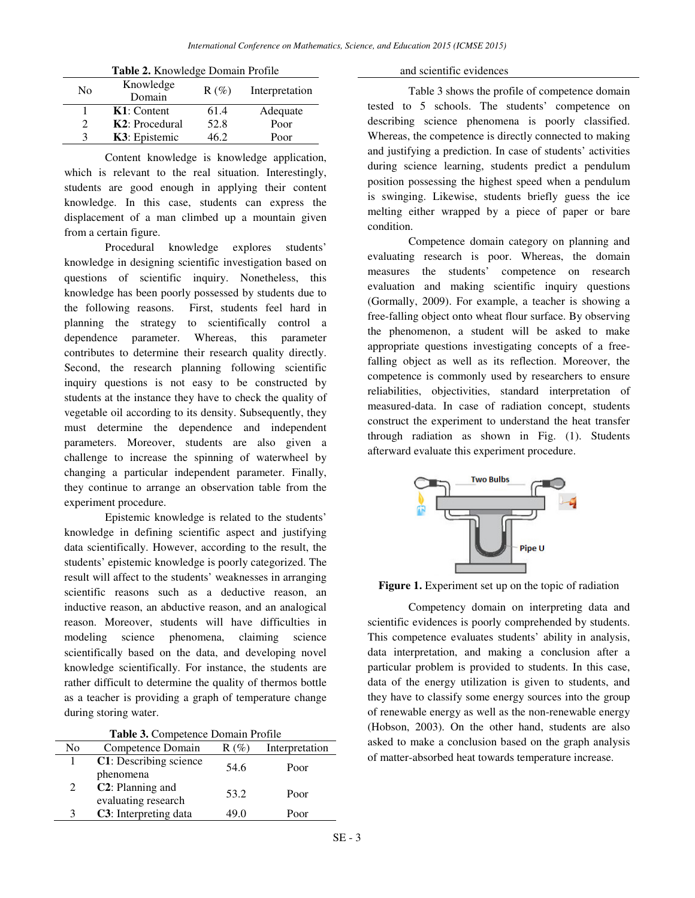| Table 2. Knowledge Domain Profile |                        |         |                |  |
|-----------------------------------|------------------------|---------|----------------|--|
| No                                | Knowledge              | $R(\%)$ | Interpretation |  |
|                                   | Domain                 |         |                |  |
|                                   | $K1:$ Content          | 61.4    | Adequate       |  |
| $\mathfrak{D}$                    | <b>K2</b> : Procedural | 52.8    | Poor           |  |
| κ                                 | K3: Epistemic          | 46.2    | Poor           |  |

Content knowledge is knowledge application, which is relevant to the real situation. Interestingly, students are good enough in applying their content knowledge. In this case, students can express the displacement of a man climbed up a mountain given from a certain figure.

Procedural knowledge explores students' knowledge in designing scientific investigation based on questions of scientific inquiry. Nonetheless, this knowledge has been poorly possessed by students due to the following reasons. First, students feel hard in planning the strategy to scientifically control a dependence parameter. Whereas, this parameter contributes to determine their research quality directly. Second, the research planning following scientific inquiry questions is not easy to be constructed by students at the instance they have to check the quality of vegetable oil according to its density. Subsequently, they must determine the dependence and independent parameters. Moreover, students are also given a challenge to increase the spinning of waterwheel by changing a particular independent parameter. Finally, they continue to arrange an observation table from the experiment procedure.

Epistemic knowledge is related to the students' knowledge in defining scientific aspect and justifying data scientifically. However, according to the result, the students' epistemic knowledge is poorly categorized. The result will affect to the students' weaknesses in arranging scientific reasons such as a deductive reason, an inductive reason, an abductive reason, and an analogical reason. Moreover, students will have difficulties in modeling science phenomena, claiming science scientifically based on the data, and developing novel knowledge scientifically. For instance, the students are rather difficult to determine the quality of thermos bottle as a teacher is providing a graph of temperature change during storing water.

| Table 3. Competence Domain Profile |  |
|------------------------------------|--|
|------------------------------------|--|

| No | Competence Domain             | $R(\%)$ | Interpretation |
|----|-------------------------------|---------|----------------|
|    | C1: Describing science        | 54.6    | Poor           |
|    | phenomena                     |         |                |
| 2  | C <sub>2</sub> : Planning and | 53.2    | Poor           |
|    | evaluating research           |         |                |
| 3  | C3: Interpreting data         | 49.0    | Poor           |

and scientific evidences

Table 3 shows the profile of competence domain tested to 5 schools. The students' competence on describing science phenomena is poorly classified. Whereas, the competence is directly connected to making and justifying a prediction. In case of students' activities during science learning, students predict a pendulum position possessing the highest speed when a pendulum is swinging. Likewise, students briefly guess the ice melting either wrapped by a piece of paper or bare condition.

Competence domain category on planning and evaluating research is poor. Whereas, the domain measures the students' competence on research evaluation and making scientific inquiry questions (Gormally, 2009). For example, a teacher is showing a free-falling object onto wheat flour surface. By observing the phenomenon, a student will be asked to make appropriate questions investigating concepts of a freefalling object as well as its reflection. Moreover, the competence is commonly used by researchers to ensure reliabilities, objectivities, standard interpretation of measured-data. In case of radiation concept, students construct the experiment to understand the heat transfer through radiation as shown in Fig. (1). Students afterward evaluate this experiment procedure.



Figure 1. Experiment set up on the topic of radiation

Competency domain on interpreting data and scientific evidences is poorly comprehended by students. This competence evaluates students' ability in analysis, data interpretation, and making a conclusion after a particular problem is provided to students. In this case, data of the energy utilization is given to students, and they have to classify some energy sources into the group of renewable energy as well as the non-renewable energy (Hobson, 2003). On the other hand, students are also asked to make a conclusion based on the graph analysis of matter-absorbed heat towards temperature increase.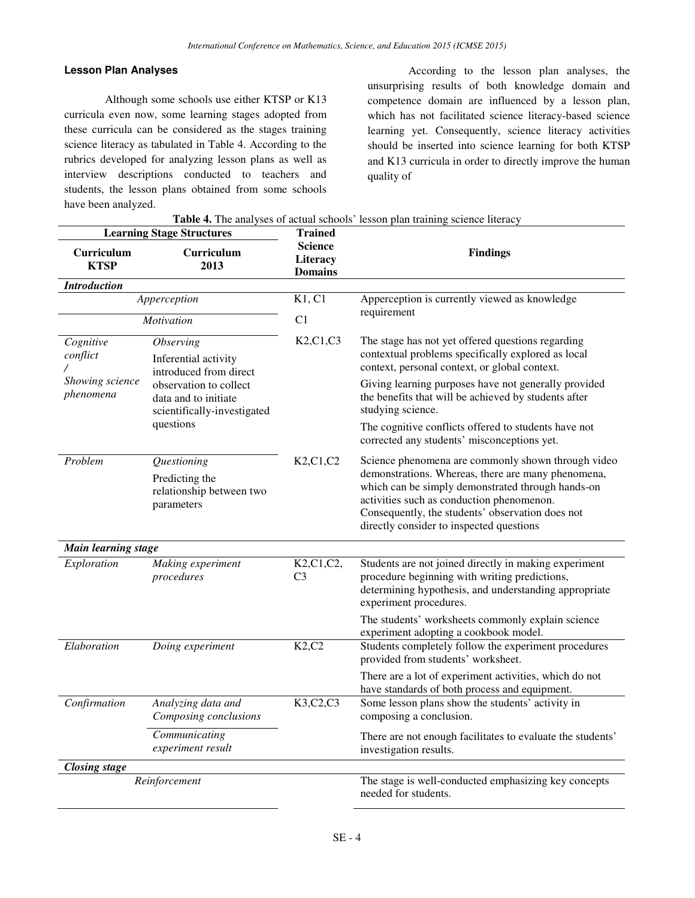## **Lesson Plan Analyses**

Although some schools use either KTSP or K13 curricula even now, some learning stages adopted from these curricula can be considered as the stages training science literacy as tabulated in Table 4. According to the rubrics developed for analyzing lesson plans as well as interview descriptions conducted to teachers and students, the lesson plans obtained from some schools have been analyzed.

According to the lesson plan analyses, the unsurprising results of both knowledge domain and competence domain are influenced by a lesson plan, which has not facilitated science literacy-based science learning yet. Consequently, science literacy activities should be inserted into science learning for both KTSP and K13 curricula in order to directly improve the human quality of

| <b>Table 4.</b> The analyses of actual schools' lesson plan training science literacy                                                         |                                                       |                                                     |                                                                                                                                                          |  |
|-----------------------------------------------------------------------------------------------------------------------------------------------|-------------------------------------------------------|-----------------------------------------------------|----------------------------------------------------------------------------------------------------------------------------------------------------------|--|
| <b>Learning Stage Structures</b>                                                                                                              |                                                       | <b>Trained</b>                                      |                                                                                                                                                          |  |
| Curriculum<br><b>KTSP</b>                                                                                                                     | Curriculum<br>2013                                    | <b>Science</b><br><b>Literacy</b><br><b>Domains</b> | <b>Findings</b>                                                                                                                                          |  |
| <b>Introduction</b>                                                                                                                           |                                                       |                                                     |                                                                                                                                                          |  |
| Apperception<br><i>Motivation</i>                                                                                                             |                                                       | K1, C1                                              | Apperception is currently viewed as knowledge<br>requirement                                                                                             |  |
|                                                                                                                                               |                                                       | C <sub>1</sub>                                      |                                                                                                                                                          |  |
| Cognitive<br><i><b>Observing</b></i><br>conflict<br>Inferential activity<br>Showing science<br>phenomena<br>data and to initiate<br>questions | introduced from direct                                | K2, C1, C3                                          | The stage has not yet offered questions regarding<br>contextual problems specifically explored as local<br>context, personal context, or global context. |  |
|                                                                                                                                               | observation to collect<br>scientifically-investigated |                                                     | Giving learning purposes have not generally provided<br>the benefits that will be achieved by students after<br>studying science.                        |  |
|                                                                                                                                               |                                                       |                                                     | The cognitive conflicts offered to students have not<br>corrected any students' misconceptions yet.                                                      |  |

|  |  | able 4. The analyses of actual schools' lesson plan training science literacy |  |  |  |
|--|--|-------------------------------------------------------------------------------|--|--|--|

| Problem              | <i><u><b>Ouestioning</b></u></i><br>Predicting the<br>relationship between two<br>parameters | K2, C1, C2                                                         | Science phenomena are commonly shown through video<br>demonstrations. Whereas, there are many phenomena,<br>which can be simply demonstrated through hands-on<br>activities such as conduction phenomenon.<br>Consequently, the students' observation does not<br>directly consider to inspected questions |
|----------------------|----------------------------------------------------------------------------------------------|--------------------------------------------------------------------|------------------------------------------------------------------------------------------------------------------------------------------------------------------------------------------------------------------------------------------------------------------------------------------------------------|
| Main learning stage  |                                                                                              |                                                                    |                                                                                                                                                                                                                                                                                                            |
| Exploration          | Making experiment<br>procedures                                                              | K <sub>2</sub> ,C <sub>1</sub> ,C <sub>2</sub> ,<br>C <sub>3</sub> | Students are not joined directly in making experiment<br>procedure beginning with writing predictions,<br>determining hypothesis, and understanding appropriate<br>experiment procedures.                                                                                                                  |
|                      |                                                                                              |                                                                    | The students' worksheets commonly explain science<br>experiment adopting a cookbook model.                                                                                                                                                                                                                 |
| Elaboration          | Doing experiment                                                                             | K2, C2                                                             | Students completely follow the experiment procedures<br>provided from students' worksheet.                                                                                                                                                                                                                 |
|                      |                                                                                              |                                                                    | There are a lot of experiment activities, which do not<br>have standards of both process and equipment.                                                                                                                                                                                                    |
| Confirmation         | Analyzing data and<br>Composing conclusions                                                  | K3, C2, C3                                                         | Some lesson plans show the students' activity in<br>composing a conclusion.                                                                                                                                                                                                                                |
|                      | Communicating<br>experiment result                                                           |                                                                    | There are not enough facilitates to evaluate the students'<br>investigation results.                                                                                                                                                                                                                       |
| <b>Closing stage</b> |                                                                                              |                                                                    |                                                                                                                                                                                                                                                                                                            |
|                      | Reinforcement                                                                                |                                                                    | The stage is well-conducted emphasizing key concepts<br>needed for students.                                                                                                                                                                                                                               |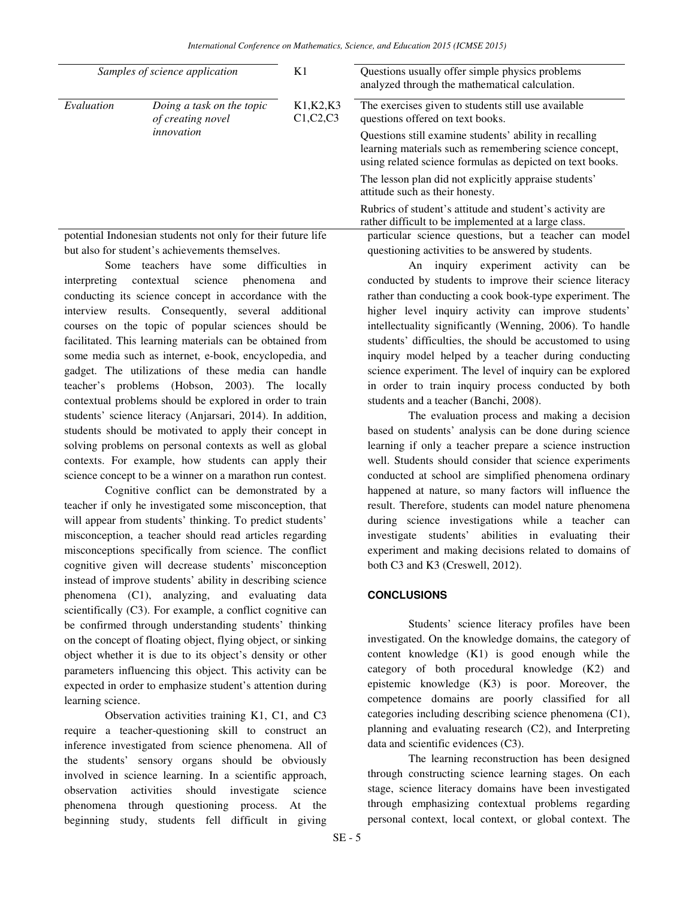| Samples of science application                               |                                                 | K1                       | Questions usually offer simple physics problems<br>analyzed through the mathematical calculation.                                                                              |
|--------------------------------------------------------------|-------------------------------------------------|--------------------------|--------------------------------------------------------------------------------------------------------------------------------------------------------------------------------|
| Evaluation                                                   | Doing a task on the topic<br>of creating novel  | K1, K2, K3<br>C1, C2, C3 | The exercises given to students still use available<br>questions offered on text books.                                                                                        |
|                                                              | innovation                                      |                          | Questions still examine students' ability in recalling<br>learning materials such as remembering science concept,<br>using related science formulas as depicted on text books. |
|                                                              |                                                 |                          | The lesson plan did not explicitly appraise students'<br>attitude such as their honesty.                                                                                       |
|                                                              |                                                 |                          | Rubrics of student's attitude and student's activity are<br>rather difficult to be implemented at a large class.                                                               |
| potential Indonesian students not only for their future life |                                                 |                          | particular science questions, but a teacher can model                                                                                                                          |
|                                                              | but also for student's achievements themselves. |                          | questioning activities to be answered by students.                                                                                                                             |

Some teachers have some difficulties in interpreting contextual science phenomena and conducting its science concept in accordance with the interview results. Consequently, several additional courses on the topic of popular sciences should be facilitated. This learning materials can be obtained from some media such as internet, e-book, encyclopedia, and gadget. The utilizations of these media can handle teacher's problems (Hobson, 2003). The locally contextual problems should be explored in order to train students' science literacy (Anjarsari, 2014). In addition, students should be motivated to apply their concept in solving problems on personal contexts as well as global contexts. For example, how students can apply their science concept to be a winner on a marathon run contest.

 Cognitive conflict can be demonstrated by a teacher if only he investigated some misconception, that will appear from students' thinking. To predict students' misconception, a teacher should read articles regarding misconceptions specifically from science. The conflict cognitive given will decrease students' misconception instead of improve students' ability in describing science phenomena (C1), analyzing, and evaluating data scientifically (C3). For example, a conflict cognitive can be confirmed through understanding students' thinking on the concept of floating object, flying object, or sinking object whether it is due to its object's density or other parameters influencing this object. This activity can be expected in order to emphasize student's attention during learning science.

Observation activities training K1, C1, and C3 require a teacher-questioning skill to construct an inference investigated from science phenomena. All of the students' sensory organs should be obviously involved in science learning. In a scientific approach, observation activities should investigate science phenomena through questioning process. At the beginning study, students fell difficult in giving

An inquiry experiment activity can be conducted by students to improve their science literacy rather than conducting a cook book-type experiment. The higher level inquiry activity can improve students' intellectuality significantly (Wenning, 2006). To handle students' difficulties, the should be accustomed to using inquiry model helped by a teacher during conducting science experiment. The level of inquiry can be explored in order to train inquiry process conducted by both students and a teacher (Banchi, 2008).

The evaluation process and making a decision based on students' analysis can be done during science learning if only a teacher prepare a science instruction well. Students should consider that science experiments conducted at school are simplified phenomena ordinary happened at nature, so many factors will influence the result. Therefore, students can model nature phenomena during science investigations while a teacher can investigate students' abilities in evaluating their experiment and making decisions related to domains of both C3 and K3 (Creswell, 2012).

# **CONCLUSIONS**

Students' science literacy profiles have been investigated. On the knowledge domains, the category of content knowledge (K1) is good enough while the category of both procedural knowledge (K2) and epistemic knowledge (K3) is poor. Moreover, the competence domains are poorly classified for all categories including describing science phenomena (C1), planning and evaluating research (C2), and Interpreting data and scientific evidences (C3).

 The learning reconstruction has been designed through constructing science learning stages. On each stage, science literacy domains have been investigated through emphasizing contextual problems regarding personal context, local context, or global context. The